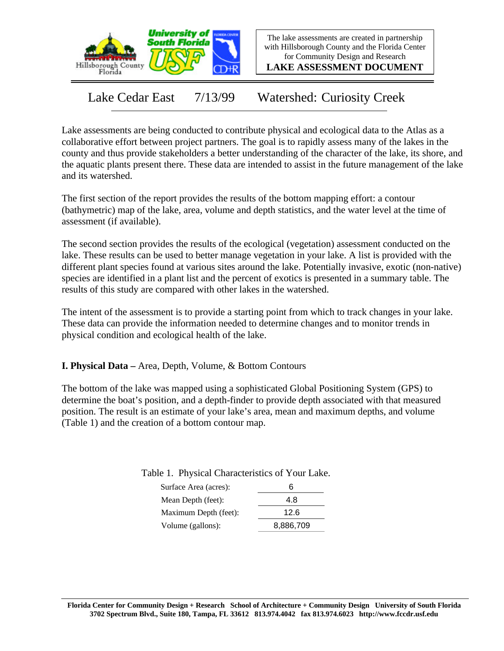

The lake assessments are created in partnership with Hillsborough County and the Florida Center for Community Design and Research

**LAKE ASSESSMENT DOCUMENT**

Lake Cedar East 7/13/99 Watershed: Curiosity Creek

Lake assessments are being conducted to contribute physical and ecological data to the Atlas as a collaborative effort between project partners. The goal is to rapidly assess many of the lakes in the county and thus provide stakeholders a better understanding of the character of the lake, its shore, and the aquatic plants present there. These data are intended to assist in the future management of the lake and its watershed.

The first section of the report provides the results of the bottom mapping effort: a contour (bathymetric) map of the lake, area, volume and depth statistics, and the water level at the time of assessment (if available).

The second section provides the results of the ecological (vegetation) assessment conducted on the lake. These results can be used to better manage vegetation in your lake. A list is provided with the different plant species found at various sites around the lake. Potentially invasive, exotic (non-native) species are identified in a plant list and the percent of exotics is presented in a summary table. The results of this study are compared with other lakes in the watershed.

The intent of the assessment is to provide a starting point from which to track changes in your lake. These data can provide the information needed to determine changes and to monitor trends in physical condition and ecological health of the lake.

**I. Physical Data –** Area, Depth, Volume, & Bottom Contours

The bottom of the lake was mapped using a sophisticated Global Positioning System (GPS) to determine the boat's position, and a depth-finder to provide depth associated with that measured position. The result is an estimate of your lake's area, mean and maximum depths, and volume (Table 1) and the creation of a bottom contour map.

Table 1. Physical Characteristics of Your Lake.

| Б         |
|-----------|
| 4.8       |
| 12.6      |
| 8,886,709 |
|           |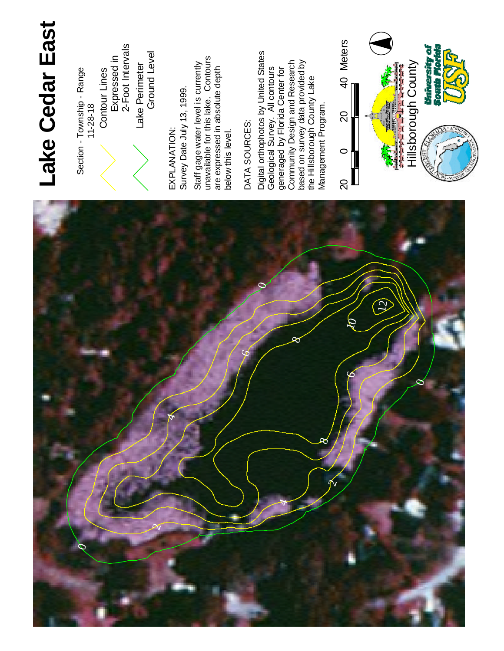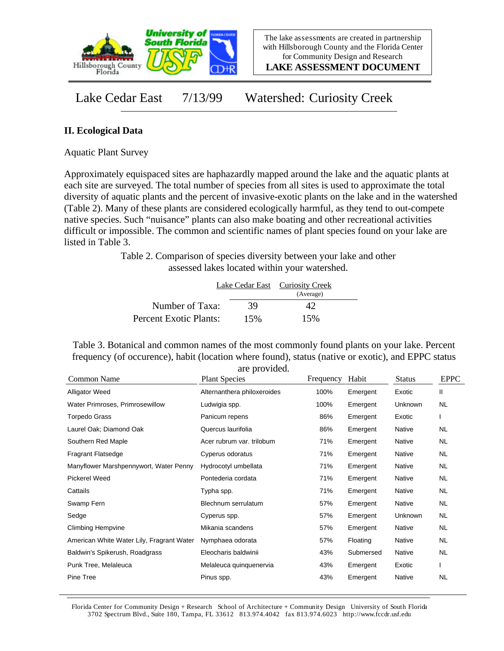

**LAKE ASSESSMENT DOCUMENT**

Lake Cedar East 7/13/99 Watershed: Curiosity Creek

## **II. Ecological Data**

Aquatic Plant Survey

Approximately equispaced sites are haphazardly mapped around the lake and the aquatic plants at each site are surveyed. The total number of species from all sites is used to approximate the total diversity of aquatic plants and the percent of invasive-exotic plants on the lake and in the watershed (Table 2). Many of these plants are considered ecologically harmful, as they tend to out-compete native species. Such "nuisance" plants can also make boating and other recreational activities difficult or impossible. The common and scientific names of plant species found on your lake are listed in Table 3.

> Table 2. Comparison of species diversity between your lake and other assessed lakes located within your watershed.

|                        |     | Lake Cedar East Curiosity Creek<br>(Average) |  |
|------------------------|-----|----------------------------------------------|--|
| Number of Taxa:        | 39  | 42                                           |  |
| Percent Exotic Plants: | 15% | 15%                                          |  |

Table 3. Botanical and common names of the most commonly found plants on your lake. Percent frequency (of occurence), habit (location where found), status (native or exotic), and EPPC status are provided.

| Frequency | Habit                                                                                                                                                      | <b>Status</b> | <b>EPPC</b> |
|-----------|------------------------------------------------------------------------------------------------------------------------------------------------------------|---------------|-------------|
| 100%      | Emergent                                                                                                                                                   | Exotic        | Ш           |
| 100%      | Emergent                                                                                                                                                   | Unknown       | <b>NL</b>   |
| 86%       | Emergent                                                                                                                                                   | Exotic        | L           |
| 86%       | Emergent                                                                                                                                                   | Native        | <b>NL</b>   |
| 71%       | Emergent                                                                                                                                                   | Native        | <b>NL</b>   |
| 71%       | Emergent                                                                                                                                                   | Native        | <b>NL</b>   |
| 71%       | Emergent                                                                                                                                                   | Native        | <b>NL</b>   |
| 71%       | Emergent                                                                                                                                                   | Native        | <b>NL</b>   |
| 71%       | Emergent                                                                                                                                                   | Native        | <b>NL</b>   |
| 57%       | Emergent                                                                                                                                                   | Native        | <b>NL</b>   |
| 57%       | Emergent                                                                                                                                                   | Unknown       | <b>NL</b>   |
| 57%       | Emergent                                                                                                                                                   | Native        | <b>NL</b>   |
| 57%       | Floating                                                                                                                                                   | Native        | <b>NL</b>   |
| 43%       | Submersed                                                                                                                                                  | Native        | <b>NL</b>   |
| 43%       | Emergent                                                                                                                                                   | Exotic        |             |
| 43%       | Emergent                                                                                                                                                   | Native        | <b>NL</b>   |
|           | Alternanthera philoxeroides<br>Acer rubrum var. trilobum<br>Hydrocotyl umbellata<br>Blechnum serrulatum<br>Eleocharis baldwinii<br>Melaleuca quinquenervia |               |             |

Florida Center for Community Design + Research School of Architecture + Community Design University of South Florida 3702 Spectrum Blvd., Suite 180, Tampa, FL 33612 813.974.4042 fax 813.974.6023 http://www.fccdr.usf.edu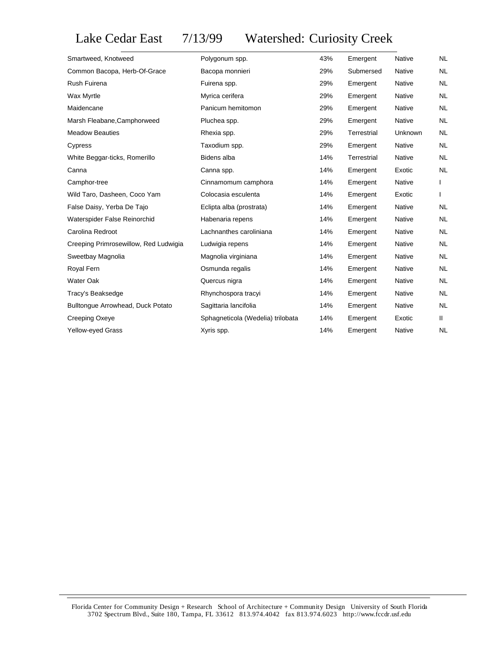Lake Cedar East 7/13/99 Watershed: Curiosity Creek

| Polygonum spp.                    | 43% | Emergent    | Native  | <b>NL</b> |
|-----------------------------------|-----|-------------|---------|-----------|
| Bacopa monnieri                   | 29% | Submersed   | Native  | NL        |
| Fuirena spp.                      | 29% | Emergent    | Native  | <b>NL</b> |
| Myrica cerifera                   | 29% | Emergent    | Native  | <b>NL</b> |
| Panicum hemitomon                 | 29% | Emergent    | Native  | NL        |
| Pluchea spp.                      | 29% | Emergent    | Native  | <b>NL</b> |
| Rhexia spp.                       | 29% | Terrestrial | Unknown | NL        |
| Taxodium spp.                     | 29% | Emergent    | Native  | <b>NL</b> |
| Bidens alba                       | 14% | Terrestrial | Native  | <b>NL</b> |
| Canna spp.                        | 14% | Emergent    | Exotic  | <b>NL</b> |
| Cinnamomum camphora               | 14% | Emergent    | Native  |           |
| Colocasia esculenta               | 14% | Emergent    | Exotic  | L         |
| Eclipta alba (prostrata)          | 14% | Emergent    | Native  | <b>NL</b> |
| Habenaria repens                  | 14% | Emergent    | Native  | NL.       |
| Lachnanthes caroliniana           | 14% | Emergent    | Native  | NL        |
| Ludwigia repens                   | 14% | Emergent    | Native  | NL.       |
| Magnolia virginiana               | 14% | Emergent    | Native  | <b>NL</b> |
| Osmunda regalis                   | 14% | Emergent    | Native  | NL        |
| Quercus nigra                     | 14% | Emergent    | Native  | NL.       |
| Rhynchospora tracyi               | 14% | Emergent    | Native  | NL        |
| Sagittaria lancifolia             | 14% | Emergent    | Native  | <b>NL</b> |
| Sphagneticola (Wedelia) trilobata | 14% | Emergent    | Exotic  | Ш.        |
| Xyris spp.                        | 14% | Emergent    | Native  | NL.       |
|                                   |     |             |         |           |

Florida Center for Community Design + Research School of Architecture + Community Design University of South Florida 3702 Spectrum Blvd., Suite 180, Tampa, FL 33612 813.974.4042 fax 813.974.6023 http://www.fccdr.usf.edu